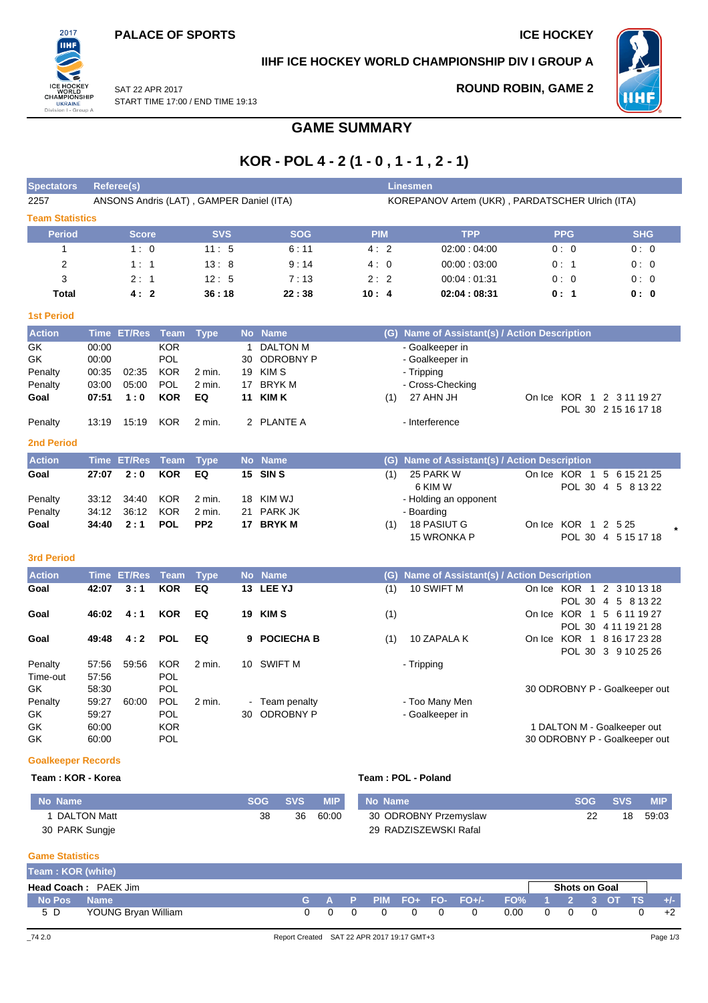START TIME 17:00 / END TIME 19:13

SAT 22 APR 2017



## **IIHF ICE HOCKEY WORLD CHAMPIONSHIP DIV I GROUP A**

## **ROUND ROBIN, GAME 2**



**GAME SUMMARY**

# **KOR - POL 4 - 2 (1 - 0 , 1 - 1 , 2 - 1)**

| <b>Spectators</b>       | <b>Referee(s)</b> |                    |             |                                          |    |                   |            |     | <b>Linesmen</b>                                 |              |                                                   |  |
|-------------------------|-------------------|--------------------|-------------|------------------------------------------|----|-------------------|------------|-----|-------------------------------------------------|--------------|---------------------------------------------------|--|
| 2257                    |                   |                    |             | ANSONS Andris (LAT), GAMPER Daniel (ITA) |    |                   |            |     | KOREPANOV Artem (UKR), PARDATSCHER Ulrich (ITA) |              |                                                   |  |
| <b>Team Statistics</b>  |                   |                    |             |                                          |    |                   |            |     |                                                 |              |                                                   |  |
| <b>Period</b>           |                   | Score              |             | <b>SVS</b>                               |    | <b>SOG</b>        | <b>PIM</b> |     | <b>TPP</b>                                      | <b>PPG</b>   | <b>SHG</b>                                        |  |
| 1                       |                   | 1:0                |             | 11:5                                     |    | 6:11              | 4:2        |     | 02:00:04:00                                     | 0:0          | 0:0                                               |  |
| $\overline{\mathbf{c}}$ |                   | 1:1                |             | 13:8                                     |    | 9:14              | 4:0        |     | 00:00:03:00                                     | 0:1          | 0:0                                               |  |
| 3                       |                   | 2:1                |             | 12:5                                     |    | 7:13              | 2:2        |     | 00:04:01:31                                     | 0:0          | 0:0                                               |  |
| <b>Total</b>            |                   | 4:2                |             | 36:18                                    |    | 22:38             | 10:4       |     | 02:04:08:31                                     | 0:1          | 0: 0                                              |  |
| <b>1st Period</b>       |                   |                    |             |                                          |    |                   |            |     |                                                 |              |                                                   |  |
|                         |                   |                    |             |                                          |    |                   |            |     |                                                 |              |                                                   |  |
| <b>Action</b>           |                   | Time ET/Res Team   |             | <b>Type</b>                              |    | No Name           |            | (G) | Name of Assistant(s) / Action Description       |              |                                                   |  |
| GK                      | 00:00             |                    | <b>KOR</b>  |                                          | 1  | <b>DALTON M</b>   |            |     | - Goalkeeper in                                 |              |                                                   |  |
| <b>GK</b>               | 00:00             |                    | POL         |                                          | 30 | <b>ODROBNY P</b>  |            |     | - Goalkeeper in                                 |              |                                                   |  |
| Penalty                 | 00:35             | 02:35              | <b>KOR</b>  | 2 min.                                   | 19 | <b>KIMS</b>       |            |     | - Tripping                                      |              |                                                   |  |
| Penalty                 | 03:00             | 05:00              | POL         | $2$ min.                                 | 17 | <b>BRYKM</b>      |            |     | - Cross-Checking                                |              |                                                   |  |
| Goal                    | 07:51             | 1:0                | <b>KOR</b>  | EQ                                       | 11 | <b>KIMK</b>       |            | (1) | 27 AHN JH                                       |              | On Ice KOR 1 2 3 11 19 27<br>POL 30 2 15 16 17 18 |  |
| Penalty                 | 13:19             | 15:19              | <b>KOR</b>  | 2 min.                                   |    | 2 PLANTE A        |            |     | - Interference                                  |              |                                                   |  |
| <b>2nd Period</b>       |                   |                    |             |                                          |    |                   |            |     |                                                 |              |                                                   |  |
| <b>Action</b>           |                   | <b>Time ET/Res</b> | <b>Team</b> | <b>Type</b>                              |    | No Name           |            | (G) | Name of Assistant(s) / Action Description       |              |                                                   |  |
| Goal                    | 27:07             | 2:0                | <b>KOR</b>  | EQ                                       |    | 15 SINS           |            | (1) | 25 PARK W                                       | On Ice KOR 1 | 5 6 15 21 25                                      |  |
|                         |                   |                    |             |                                          |    |                   |            |     | 6 KIM W                                         |              | POL 30 4 5 8 13 22                                |  |
| Penalty                 | 33:12             | 34:40              | <b>KOR</b>  | $2$ min.                                 | 18 | KIM WJ            |            |     | - Holding an opponent                           |              |                                                   |  |
| Penalty                 | 34:12             | 36:12              | <b>KOR</b>  | $2$ min.                                 | 21 | <b>PARK JK</b>    |            |     | - Boarding                                      |              |                                                   |  |
| Goal                    | 34:40             | 2:1                | <b>POL</b>  | PP <sub>2</sub>                          |    | 17 BRYK M         |            | (1) | <b>18 PASIUT G</b>                              | On Ice KOR 1 | 2 5 2 5                                           |  |
|                         |                   |                    |             |                                          |    |                   |            |     | 15 WRONKA P                                     |              | POL 30 4 5 15 17 18                               |  |
| <b>3rd Period</b>       |                   |                    |             |                                          |    |                   |            |     |                                                 |              |                                                   |  |
| <b>Action</b>           |                   | <b>Time ET/Res</b> | <b>Team</b> | <b>Type</b>                              |    | No Name           |            | (G) | Name of Assistant(s) / Action Description       |              |                                                   |  |
| Goal                    | 42:07             | 3:1                | <b>KOR</b>  | EQ                                       |    | 13 LEE YJ         |            | (1) | 10 SWIFT M                                      | On Ice KOR 1 | 2 3 10 13 18                                      |  |
|                         |                   |                    |             |                                          |    |                   |            |     |                                                 |              | POL 30 4 5 8 13 22                                |  |
| Goal                    | 46:02             | 4:1                | <b>KOR</b>  | EQ                                       | 19 | <b>KIMS</b>       |            | (1) |                                                 |              | On Ice KOR 1 5 6 11 19 27                         |  |
|                         |                   |                    |             |                                          |    |                   |            |     |                                                 |              | POL 30 4 11 19 21 28                              |  |
| Goal                    | 49:48             | 4:2                | <b>POL</b>  | EQ                                       | 9  | <b>POCIECHA B</b> |            | (1) | 10 ZAPALA K                                     | On Ice KOR 1 | 8 16 17 23 28                                     |  |
|                         |                   |                    |             |                                          |    |                   |            |     |                                                 |              | POL 30 3 9 10 25 26                               |  |

## Penalty 57:56 59:56 KOR 2 min. 10 SWIFT M - Tripping - Tripping<br>Time-out 57:56 POL GK 58:30 POL 58:30 POL 58:30 POL 58:30 POL 58:30 POL 58:30 POL 58:30 DEROBNY P - Goalkeeper out Penalty 59:27 60:00 POL 2 min. - Team penalty - Too Many Men GK 59:27 POL 30 ODROBNY P - Goalkeeper in GK 60:00 KOR 60:00 KOR 60:00 KOR GK 60:00 POL POL 200 POL

### **Goalkeeper Records**

Time-out

#### **Team : KOR - Korea Team : POL - Poland**

| No Name        | <b>SOG</b> | <b>SVS</b> | <b>MIP</b> | No Name               | <b>SOG</b> | <b>SVS</b> | <b>MIP</b> |
|----------------|------------|------------|------------|-----------------------|------------|------------|------------|
| DALTON Matt    | 38         | 36         | 60:00      | 30 ODROBNY Przemyslaw |            | 18         | 59:03      |
| 30 PARK Sungje |            |            |            | 29 RADZISZEWSKI Rafal |            |            |            |

## **Game Statistics**

| Team: KOR (white) |                             |     |                   |          |                |                                            |      |            |                      |  |       |
|-------------------|-----------------------------|-----|-------------------|----------|----------------|--------------------------------------------|------|------------|----------------------|--|-------|
|                   | <b>Head Coach: PAEK Jim</b> |     |                   |          |                |                                            |      |            | <b>Shots on Goal</b> |  |       |
| No Pos Name       |                             |     |                   |          |                | ig A P PIM FO+ FO- FO+/- FO% 1 2 3 OT TS i |      |            |                      |  | $+/-$ |
| 5 D               | YOUNG Bryan William         | 000 | $\cdot$ 0 $\cdot$ | $\Omega$ | $\overline{0}$ | $\Omega$                                   | 0.00 | $0\quad 0$ |                      |  | $+2$  |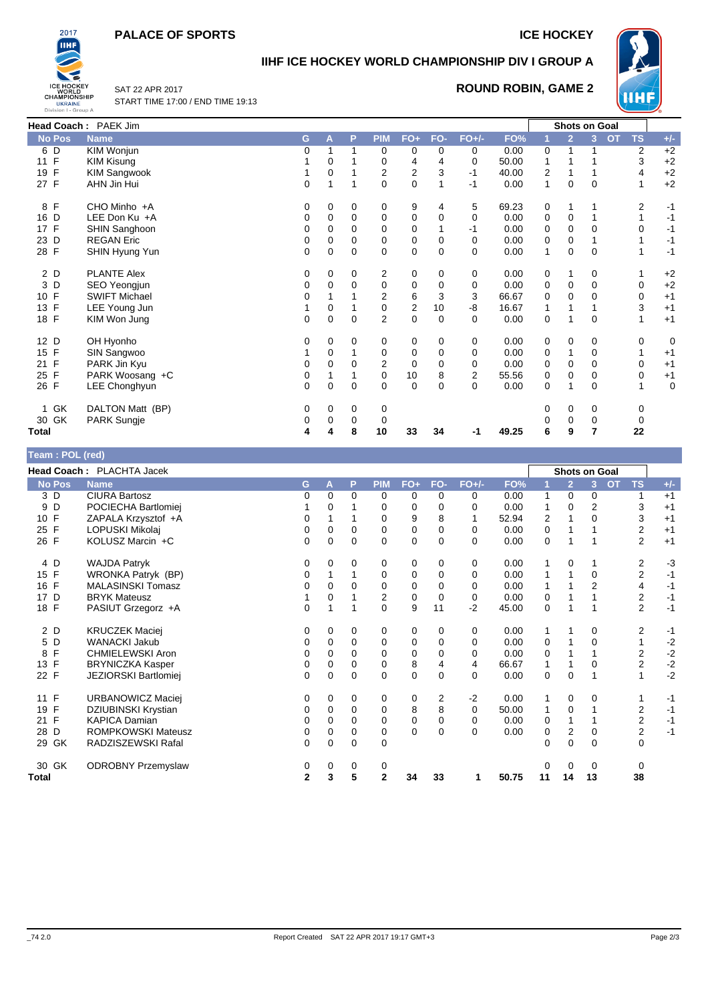## **PALACE OF SPORTS ICE HOCKEY**



# **IIHF ICE HOCKEY WORLD CHAMPIONSHIP DIV I GROUP A**

SAT 22 APR 2017 START TIME 17:00 / END TIME 19:13

## **ROUND ROBIN, GAME 2**



|                    | Head Coach: PAEK Jim |   |   |             |                |                |             |             |       |             | Shots on Goal  |             |                        |    |             |
|--------------------|----------------------|---|---|-------------|----------------|----------------|-------------|-------------|-------|-------------|----------------|-------------|------------------------|----|-------------|
| <b>No Pos</b>      | <b>Name</b>          | G | A | P           | <b>PIM</b>     | $FO+$          | FO-         | $FO+/-$     | FO%   |             | $\overline{2}$ | 3           | <b>TS</b><br><b>OT</b> |    | $+/-$       |
| 6 D                | KIM Wonjun           | 0 | 1 | 1           | 0              | 0              | 0           | 0           | 0.00  | 0           |                |             |                        | 2  | $+2$        |
| 11 F               | <b>KIM Kisung</b>    |   | 0 |             | 0              | 4              | 4           | 0           | 50.00 |             |                |             |                        | 3  | $+2$        |
| $\mathsf{F}$<br>19 | <b>KIM Sangwook</b>  |   | 0 |             | 2              | $\overline{2}$ | 3           | $-1$        | 40.00 | 2           |                |             |                        | 4  | $+2$        |
| 27 F               | AHN Jin Hui          | 0 |   | 1           | $\Omega$       | 0              | 1           | $-1$        | 0.00  | 1           | 0              | $\mathbf 0$ |                        | 1  | $+2$        |
| 8 F                | CHO Minho +A         | 0 | 0 | 0           | 0              | 9              | 4           | 5           | 69.23 | 0           |                |             |                        | 2  | $-1$        |
| 16 D               | LEE Don Ku +A        | 0 | 0 | 0           | 0              | 0              | 0           | 0           | 0.00  | 0           | 0              |             |                        | 1  | $-1$        |
| 17 F               | SHIN Sanghoon        | 0 | 0 | 0           | 0              | 0              |             | -1          | 0.00  | 0           | 0              | 0           |                        | 0  | $-1$        |
| 23 D               | <b>REGAN Eric</b>    | 0 | 0 | 0           | 0              | 0              | 0           | $\mathbf 0$ | 0.00  | 0           | 0              |             |                        |    | $-1$        |
| 28 F               | SHIN Hyung Yun       | 0 | 0 | 0           | $\Omega$       | $\mathbf 0$    | 0           | 0           | 0.00  | 1           | 0              | $\mathbf 0$ |                        | 1  | $-1$        |
| 2 D                | <b>PLANTE Alex</b>   | 0 | 0 | 0           | 2              | 0              | 0           | 0           | 0.00  | 0           |                | 0           |                        |    | $+2$        |
| 3 D                | SEO Yeongjun         | 0 | 0 | 0           | 0              | 0              | 0           | 0           | 0.00  | 0           | 0              | $\mathbf 0$ |                        | 0  | $+2$        |
| 10 F               | <b>SWIFT Michael</b> | 0 |   |             | 2              | 6              | 3           | 3           | 66.67 | 0           | 0              | $\Omega$    |                        | 0  | $+1$        |
| 13 F               | LEE Young Jun        |   | 0 |             | 0              | $\mathbf 2$    | 10          | -8          | 16.67 |             |                |             |                        | 3  | $+1$        |
| 18 F               | KIM Won Jung         | 0 | 0 | $\mathbf 0$ | $\overline{2}$ | 0              | $\mathbf 0$ | 0           | 0.00  | $\mathbf 0$ |                | $\mathbf 0$ |                        | 1  | $+1$        |
| 12 D               | OH Hyonho            | 0 | 0 | 0           | 0              | 0              | 0           | 0           | 0.00  | 0           | 0              | 0           |                        | 0  | 0           |
| 15 F               | SIN Sangwoo          |   | 0 |             | $\mathbf 0$    | 0              | 0           | 0           | 0.00  | 0           |                | $\mathbf 0$ |                        |    | $+1$        |
| 21 F               | PARK Jin Kyu         | 0 | 0 | 0           | $\overline{2}$ | $\mathbf 0$    | 0           | 0           | 0.00  | 0           | 0              | $\mathbf 0$ |                        | 0  | $+1$        |
| 25 F               | PARK Woosang +C      | 0 |   | 1           | 0              | 10             | 8           | 2           | 55.56 | 0           | 0              | $\mathbf 0$ |                        | 0  | $+1$        |
| 26 F               | LEE Chonghyun        | 0 | 0 | $\mathbf 0$ | $\Omega$       | $\mathbf 0$    | $\mathbf 0$ | 0           | 0.00  | $\mathbf 0$ |                | $\mathbf 0$ |                        | 1  | $\mathbf 0$ |
| 1 GK               | DALTON Matt (BP)     | 0 | 0 | 0           | 0              |                |             |             |       | 0           | 0              | 0           |                        | 0  |             |
| 30 GK              | <b>PARK Sungje</b>   | 0 | 0 | 0           | 0              |                |             |             |       | 0           | 0              | 0           |                        | 0  |             |
| Total              |                      | 4 | 4 | 8           | 10             | 33             | 34          | -1          | 49.25 | 6           | 9              | 7           |                        | 22 |             |

| <b>Team: POL (red)</b> |                           |    |          |             |                |             |                |          |       |             |                      |             |           |                |       |
|------------------------|---------------------------|----|----------|-------------|----------------|-------------|----------------|----------|-------|-------------|----------------------|-------------|-----------|----------------|-------|
|                        | Head Coach: PLACHTA Jacek |    |          |             |                |             |                |          |       |             | <b>Shots on Goal</b> |             |           |                |       |
| <b>No Pos</b>          | <b>Name</b>               | G. | A        | P           | <b>PIM</b>     | $FO+$       | FO-            | $FO+/-$  | FO%   |             | $\overline{2}$       | 3           | <b>OT</b> | <b>TS</b>      | $+/-$ |
| 3 D                    | <b>CIURA Bartosz</b>      | 0  | $\Omega$ | $\Omega$    | 0              | 0           | 0              | 0        | 0.00  | 1           | 0                    | 0           |           | 1              | $+1$  |
| 9 D                    | POCIECHA Bartlomiei       |    | 0        |             | 0              | 0           | 0              | 0        | 0.00  | 1           | 0                    | 2           |           | 3              | $+1$  |
| 10 F                   | ZAPALA Krzysztof +A       | 0  |          |             | 0              | 9           | 8              |          | 52.94 | 2           |                      | 0           |           | 3              | $+1$  |
| 25 F                   | LOPUSKI Mikolaj           | 0  | 0        | 0           | 0              | $\mathbf 0$ | $\mathbf 0$    | $\Omega$ | 0.00  | 0           |                      |             |           | 2              | $+1$  |
| 26 F                   | KOLUSZ Marcin +C          | 0  | $\Omega$ | $\Omega$    | $\Omega$       | $\mathbf 0$ | $\Omega$       | 0        | 0.00  | $\mathbf 0$ |                      |             |           | $\overline{2}$ | $+1$  |
| 4 D                    | <b>WAJDA Patryk</b>       | 0  | 0        | 0           | 0              | 0           | 0              | 0        | 0.00  |             | 0                    |             |           | 2              | $-3$  |
| 15 F                   | WRONKA Patryk (BP)        | 0  |          |             | 0              | 0           | 0              | $\Omega$ | 0.00  |             |                      | $\mathbf 0$ |           | 2              | $-1$  |
| 16 F                   | <b>MALASINSKI Tomasz</b>  | 0  | $\Omega$ | 0           | 0              | $\mathbf 0$ | 0              | 0        | 0.00  |             |                      | 2           |           | 4              | $-1$  |
| 17 D                   | <b>BRYK Mateusz</b>       |    | 0        |             | 2              | $\mathbf 0$ | $\Omega$       | $\Omega$ | 0.00  | 0           |                      |             |           | 2              | $-1$  |
| 18 F                   | PASIUT Grzegorz +A        | 0  |          |             | $\Omega$       | 9           | 11             | $-2$     | 45.00 | 0           |                      |             |           | $\overline{c}$ | $-1$  |
| 2 D                    | <b>KRUCZEK Maciej</b>     | 0  | 0        | 0           | 0              | 0           | 0              | 0        | 0.00  |             |                      | 0           |           | 2              | $-1$  |
| 5 D                    | <b>WANACKI Jakub</b>      | 0  | 0        | 0           | 0              | 0           | 0              | 0        | 0.00  | 0           |                      | $\Omega$    |           | 1              | $-2$  |
| F<br>8                 | <b>CHMIELEWSKI Aron</b>   | 0  | $\Omega$ | $\Omega$    | $\Omega$       | 0           | $\Omega$       | 0        | 0.00  | 0           |                      |             |           | 2              | $-2$  |
| 13 F                   | <b>BRYNICZKA Kasper</b>   | 0  | 0        | 0           | 0              | 8           | 4              | 4        | 66.67 | 1           |                      | 0           |           | $\overline{2}$ | $-2$  |
| 22 F                   | JEZIORSKI Bartlomiej      | 0  | $\Omega$ | 0           | $\Omega$       | 0           | $\Omega$       | $\Omega$ | 0.00  | $\mathbf 0$ | 0                    |             |           |                | $-2$  |
| F<br>11                | URBANOWICZ Maciej         | 0  | 0        | 0           | 0              | 0           | $\overline{2}$ | $-2$     | 0.00  | 1           | 0                    | 0           |           | 1              | $-1$  |
| F<br>19                | DZIUBINSKI Krystian       | 0  | 0        | 0           | 0              | 8           | 8              | $\Omega$ | 50.00 | 1           | 0                    |             |           | $\overline{2}$ | $-1$  |
| F<br>21                | <b>KAPICA Damian</b>      | 0  | $\Omega$ | 0           | 0              | $\mathbf 0$ | 0              | 0        | 0.00  | 0           |                      |             |           | 2              | $-1$  |
| D<br>28                | ROMPKOWSKI Mateusz        | 0  | 0        | 0           | 0              | $\mathbf 0$ | $\mathbf 0$    | $\Omega$ | 0.00  | 0           | 2                    | 0           |           | 2              | $-1$  |
| 29 GK                  | RADZISZEWSKI Rafal        | 0  | $\Omega$ | $\mathbf 0$ | $\Omega$       |             |                |          |       | 0           | $\Omega$             | $\Omega$    |           | $\Omega$       |       |
| 30 GK                  | <b>ODROBNY Przemyslaw</b> | 0  | 0        | 0           | 0              |             |                |          |       | 0           | 0                    | $\mathbf 0$ |           | 0              |       |
| Total                  |                           | 2  | 3        | 5           | $\overline{2}$ | 34          | 33             | 1        | 50.75 | 11          | 14                   | 13          |           | 38             |       |